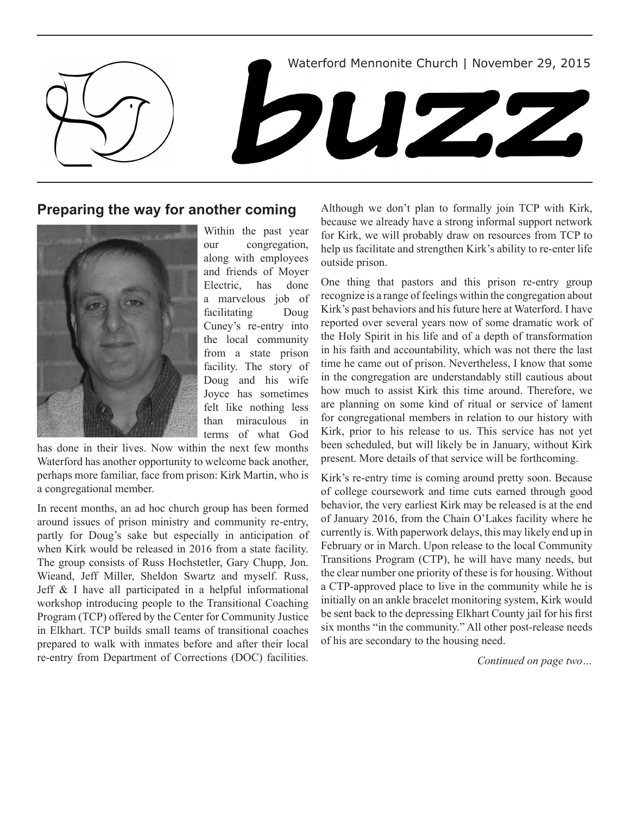

# **Preparing the way for another coming**



Within the past year our congregation, along with employees and friends of Moyer Electric, has done a marvelous job of facilitating Doug Cuney's re-entry into the local community from a state prison facility. The story of Doug and his wife Joyce has sometimes felt like nothing less than miraculous in terms of what God

has done in their lives. Now within the next few months Waterford has another opportunity to welcome back another, perhaps more familiar, face from prison: Kirk Martin, who is a congregational member.

In recent months, an ad hoc church group has been formed around issues of prison ministry and community re-entry, partly for Doug's sake but especially in anticipation of when Kirk would be released in 2016 from a state facility. The group consists of Russ Hochstetler, Gary Chupp, Jon. Wieand, Jeff Miller, Sheldon Swartz and myself. Russ, Jeff & I have all participated in a helpful informational workshop introducing people to the Transitional Coaching Program (TCP) offered by the Center for Community Justice in Elkhart. TCP builds small teams of transitional coaches prepared to walk with inmates before and after their local re-entry from Department of Corrections (DOC) facilities.

Although we don't plan to formally join TCP with Kirk, because we already have a strong informal support network for Kirk, we will probably draw on resources from TCP to help us facilitate and strengthen Kirk's ability to re-enter life outside prison.

One thing that pastors and this prison re-entry group recognize is a range of feelings within the congregation about Kirk's past behaviors and his future here at Waterford. I have reported over several years now of some dramatic work of the Holy Spirit in his life and of a depth of transformation in his faith and accountability, which was not there the last time he came out of prison. Nevertheless, I know that some in the congregation are understandably still cautious about how much to assist Kirk this time around. Therefore, we are planning on some kind of ritual or service of lament for congregational members in relation to our history with Kirk, prior to his release to us. This service has not yet been scheduled, but will likely be in January, without Kirk present. More details of that service will be forthcoming.

Kirk's re-entry time is coming around pretty soon. Because of college coursework and time cuts earned through good behavior, the very earliest Kirk may be released is at the end of January 2016, from the Chain O'Lakes facility where he currently is. With paperwork delays, this may likely end up in February or in March. Upon release to the local Community Transitions Program (CTP), he will have many needs, but the clear number one priority of these is for housing. Without a CTP-approved place to live in the community while he is initially on an ankle bracelet monitoring system, Kirk would be sent back to the depressing Elkhart County jail for his first six months "in the community." All other post-release needs of his are secondary to the housing need.

*Continued on page two…*